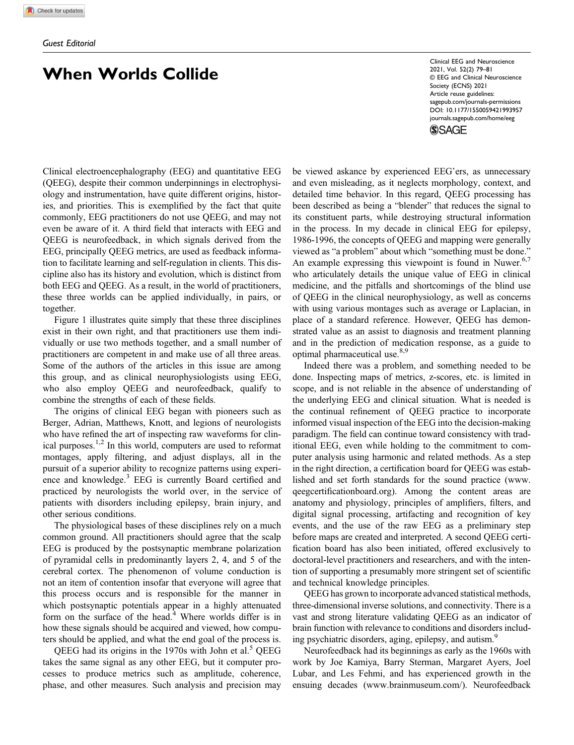## When Worlds Collide

Clinical EEG and Neuroscience 2021, Vol. 52(2) 79–81 © EEG and Clinical Neuroscience Society (ECNS) 2021 Article reuse guidelines: [sagepub.com/journals-permissions](https://us.sagepub.com/en-us/journals-permissions) DOI: 10.1177/1550059421993957 [journals.sagepub.com/home/eeg](https://journals.sagepub.com/home/eeg)

**SSAGE** 

Clinical electroencephalography (EEG) and quantitative EEG (QEEG), despite their common underpinnings in electrophysiology and instrumentation, have quite different origins, histories, and priorities. This is exemplified by the fact that quite commonly, EEG practitioners do not use QEEG, and may not even be aware of it. A third field that interacts with EEG and QEEG is neurofeedback, in which signals derived from the EEG, principally QEEG metrics, are used as feedback information to facilitate learning and self-regulation in clients. This discipline also has its history and evolution, which is distinct from both EEG and QEEG. As a result, in the world of practitioners, these three worlds can be applied individually, in pairs, or together.

Figure 1 illustrates quite simply that these three disciplines exist in their own right, and that practitioners use them individually or use two methods together, and a small number of practitioners are competent in and make use of all three areas. Some of the authors of the articles in this issue are among this group, and as clinical neurophysiologists using EEG, who also employ QEEG and neurofeedback, qualify to combine the strengths of each of these fields.

The origins of clinical EEG began with pioneers such as Berger, Adrian, Matthews, Knott, and legions of neurologists who have refined the art of inspecting raw waveforms for clinical purposes.<sup>1,2</sup> In this world, computers are used to reformat montages, apply filtering, and adjust displays, all in the pursuit of a superior ability to recognize patterns using experience and knowledge. $3$  EEG is currently Board certified and practiced by neurologists the world over, in the service of patients with disorders including epilepsy, brain injury, and other serious conditions.

The physiological bases of these disciplines rely on a much common ground. All practitioners should agree that the scalp EEG is produced by the postsynaptic membrane polarization of pyramidal cells in predominantly layers 2, 4, and 5 of the cerebral cortex. The phenomenon of volume conduction is not an item of contention insofar that everyone will agree that this process occurs and is responsible for the manner in which postsynaptic potentials appear in a highly attenuated form on the surface of the head.<sup>4</sup> Where worlds differ is in how these signals should be acquired and viewed, how computers should be applied, and what the end goal of the process is.

QEEG had its origins in the 1970s with John et al.<sup>5</sup> QEEG takes the same signal as any other EEG, but it computer processes to produce metrics such as amplitude, coherence, phase, and other measures. Such analysis and precision may be viewed askance by experienced EEG'ers, as unnecessary and even misleading, as it neglects morphology, context, and detailed time behavior. In this regard, QEEG processing has been described as being a "blender" that reduces the signal to its constituent parts, while destroying structural information in the process. In my decade in clinical EEG for epilepsy, 1986-1996, the concepts of QEEG and mapping were generally viewed as "a problem" about which "something must be done." An example expressing this viewpoint is found in Nuwer. $6,7$ who articulately details the unique value of EEG in clinical medicine, and the pitfalls and shortcomings of the blind use of QEEG in the clinical neurophysiology, as well as concerns with using various montages such as average or Laplacian, in place of a standard reference. However, QEEG has demonstrated value as an assist to diagnosis and treatment planning and in the prediction of medication response, as a guide to optimal pharmaceutical use.<sup>8,9</sup>

Indeed there was a problem, and something needed to be done. Inspecting maps of metrics, z-scores, etc. is limited in scope, and is not reliable in the absence of understanding of the underlying EEG and clinical situation. What is needed is the continual refinement of QEEG practice to incorporate informed visual inspection of the EEG into the decision-making paradigm. The field can continue toward consistency with traditional EEG, even while holding to the commitment to computer analysis using harmonic and related methods. As a step in the right direction, a certification board for QEEG was established and set forth standards for the sound practice ([www.](www.qeegcertificationboard.org) qeegcertifi[cationboard.org\)](www.qeegcertificationboard.org). Among the content areas are anatomy and physiology, principles of amplifiers, filters, and digital signal processing, artifacting and recognition of key events, and the use of the raw EEG as a preliminary step before maps are created and interpreted. A second QEEG certification board has also been initiated, offered exclusively to doctoral-level practitioners and researchers, and with the intention of supporting a presumably more stringent set of scientific and technical knowledge principles.

QEEG has grown to incorporate advanced statistical methods, three-dimensional inverse solutions, and connectivity. There is a vast and strong literature validating QEEG as an indicator of brain function with relevance to conditions and disorders including psychiatric disorders, aging, epilepsy, and autism.<sup>9</sup>

Neurofeedback had its beginnings as early as the 1960s with work by Joe Kamiya, Barry Sterman, Margaret Ayers, Joel Lubar, and Les Fehmi, and has experienced growth in the ensuing decades [\(www.brainmuseum.com/\)](www.brainmuseum.com/). Neurofeedback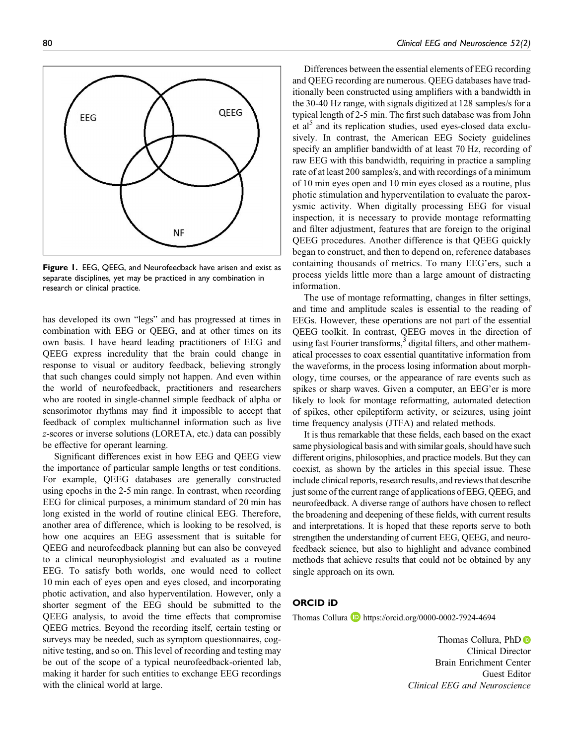

Figure 1. EEG, QEEG, and Neurofeedback have arisen and exist as separate disciplines, yet may be practiced in any combination in research or clinical practice.

has developed its own "legs" and has progressed at times in combination with EEG or QEEG, and at other times on its own basis. I have heard leading practitioners of EEG and QEEG express incredulity that the brain could change in response to visual or auditory feedback, believing strongly that such changes could simply not happen. And even within the world of neurofeedback, practitioners and researchers who are rooted in single-channel simple feedback of alpha or sensorimotor rhythms may find it impossible to accept that feedback of complex multichannel information such as live z-scores or inverse solutions (LORETA, etc.) data can possibly be effective for operant learning.

Significant differences exist in how EEG and QEEG view the importance of particular sample lengths or test conditions. For example, QEEG databases are generally constructed using epochs in the 2-5 min range. In contrast, when recording EEG for clinical purposes, a minimum standard of 20 min has long existed in the world of routine clinical EEG. Therefore, another area of difference, which is looking to be resolved, is how one acquires an EEG assessment that is suitable for QEEG and neurofeedback planning but can also be conveyed to a clinical neurophysiologist and evaluated as a routine EEG. To satisfy both worlds, one would need to collect 10 min each of eyes open and eyes closed, and incorporating photic activation, and also hyperventilation. However, only a shorter segment of the EEG should be submitted to the QEEG analysis, to avoid the time effects that compromise QEEG metrics. Beyond the recording itself, certain testing or surveys may be needed, such as symptom questionnaires, cognitive testing, and so on. This level of recording and testing may be out of the scope of a typical neurofeedback-oriented lab, making it harder for such entities to exchange EEG recordings with the clinical world at large.

Differences between the essential elements of EEG recording and QEEG recording are numerous. QEEG databases have traditionally been constructed using amplifiers with a bandwidth in the 30-40 Hz range, with signals digitized at 128 samples/s for a typical length of 2-5 min. The first such database was from John et al<sup>5</sup> and its replication studies, used eyes-closed data exclusively. In contrast, the American EEG Society guidelines specify an amplifier bandwidth of at least 70 Hz, recording of raw EEG with this bandwidth, requiring in practice a sampling rate of at least 200 samples/s, and with recordings of a minimum of 10 min eyes open and 10 min eyes closed as a routine, plus photic stimulation and hyperventilation to evaluate the paroxysmic activity. When digitally processing EEG for visual inspection, it is necessary to provide montage reformatting and filter adjustment, features that are foreign to the original QEEG procedures. Another difference is that QEEG quickly began to construct, and then to depend on, reference databases containing thousands of metrics. To many EEG'ers, such a process yields little more than a large amount of distracting information.

The use of montage reformatting, changes in filter settings, and time and amplitude scales is essential to the reading of EEGs. However, these operations are not part of the essential QEEG toolkit. In contrast, QEEG moves in the direction of using fast Fourier transforms,<sup>3</sup> digital filters, and other mathematical processes to coax essential quantitative information from the waveforms, in the process losing information about morphology, time courses, or the appearance of rare events such as spikes or sharp waves. Given a computer, an EEG'er is more likely to look for montage reformatting, automated detection of spikes, other epileptiform activity, or seizures, using joint time frequency analysis (JTFA) and related methods.

It is thus remarkable that these fields, each based on the exact same physiological basis and with similar goals, should have such different origins, philosophies, and practice models. But they can coexist, as shown by the articles in this special issue. These include clinical reports, research results, and reviews that describe just some of the current range of applications of EEG, QEEG, and neurofeedback. A diverse range of authors have chosen to reflect the broadening and deepening of these fields, with current results and interpretations. It is hoped that these reports serve to both strengthen the understanding of current EEG, QEEG, and neurofeedback science, but also to highlight and advance combined methods that achieve results that could not be obtained by any single approach on its own.

## ORCID iD

Thomas Collura **D** <https://orcid.org/0000-0002-7924-4694>

Thomas Collura, PhD<sup>o</sup> Clinical Director Brain Enrichment Center Guest Editor Clinical EEG and Neuroscience